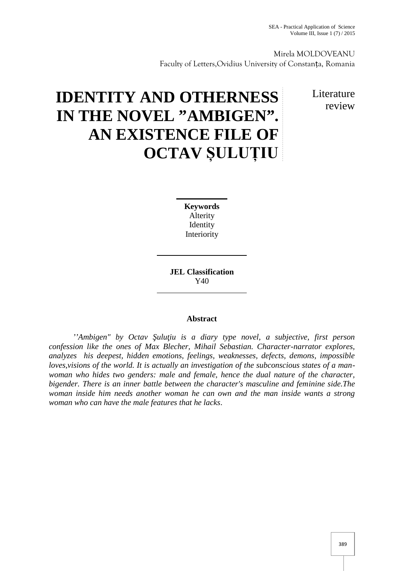Mirela MOLDOVEANU Faculty of Letters,Ovidius University of Constanța, Romania

> Literature review

# **IDENTITY AND OTHERNESS IN THE NOVEL "AMBIGEN". AN EXISTENCE FILE OF OCTAV ȘULUȚIU**

**Keywords** Alterity Identity Interiority

**JEL Classification** Y40

## **Abstract**

''Ambigen" by Octav ulu*iu is a diary type novel, a subjective, first person confession like the ones of Max Blecher, Mihail Sebastian. Character-narrator explores, analyzes his deepest, hidden emotions, feelings, weaknesses, defects, demons, impossible loves,visions of the world. It is actually an investigation of the subconscious states of a man woman who hides two genders: male and female, hence the dual nature of the character, bigender. There is an inner battle between the character's masculine and feminine side.The woman inside him needs another woman he can own and the man inside wants a strong woman who can have the male features that he lacks*.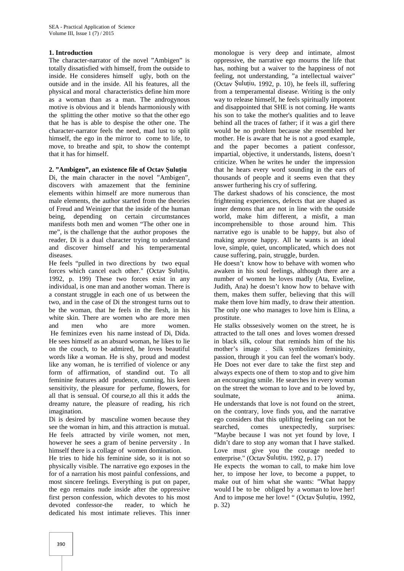## **1. Introduction**

The character-narrator of the novel "Ambigen" is totally dissatisfied with himself, from the outside to inside. He consideres himself ugly, both on the outside and in the inside. All his features, all the physical and moral characteristics define him more as a woman than as a man. The androgynous motive is obvious and it blends harmoniously with the splitting the other motive so that the other ego that he has is able to despise the other one. The character-narrator feels the need, mad lust to split himself, the ego in the mirror to come to life, to move, to breathe and spit, to show the contempt that it has for himself.

## **2. "Ambigen", an existence file of Octav Șuluțiu**

Di, the main character in the novel "Ambigen", discovers with amazement that the feminine elements within himself are more numerous than male elements, the author started from the theories of Freud and Weiniger that the inside of the human being, depending on certain circumstances manifests both men and women "The other one in me", is the challenge that the author proposes the reader, Di is a dual character trying to understand and discover himself and his temperamental diseases.

He feels "pulled in two directions by two equal forces which cancel each other." (Octav Șuluțiu, 1992, p. 199) These two forces exist in any individual, is one man and another woman. There is a constant struggle in each one of us between the two, and in the case of Di the strongest turns out to be the woman, that he feels in the flesh, in his white skin. There are women who are more men and men who are more women. He feminizes even his name instead of Di, Dida. He sees himself as an absurd woman, he likes to lie on the couch, to be admired, he loves beautiful words like a woman. He is shy, proud and modest like any woman, he is terrified of violence or any form of affirmation, of standind out. To all feminine features add prudence, cunning, his keen sensitivity, the pleasure for perfume, flowers, for all that is sensual. Of course,to all this it adds the dreamy nature, the pleasure of reading, his rich imagination.

Di is desired by masculine women because they see the woman in him, and this attraction is mutual. He feels attracted by virile women, not men, however he sees a gram of benine perversity . In himself there is a collage of women domination.

He tries to hide his feminine side, so it is not so physically visible. The narrative ego exposes in the for of a narration his most painful confessions, and most sincere feelings. Everything is put on paper, the ego remains nude inside after the oppressive first person confession, which devotes to his most devoted confessor-the reader, to which he dedicated his most intimate relieves. This inner

monologue is very deep and intimate, almost oppressive, the narrative ego mourns the life that has, nothing but a waiver to the happiness of not feeling, not understanding, "a intellectual waiver" (Octav Șuluțiu, 1992, p. 10), he feels ill, suffering from a temperamental disease. Writing is the only way to release himself, he feels spiritually impotent and disappointed that SHE is not coming. He wants his son to take the mother's qualities and to leave behind all the traces of father; if it was a girl there would be no problem because she resembled her mother. He is aware that he is not a good example, and the paper becomes a patient confessor, impartial, objective, it understands, listens, doesn't criticize. When he writes he under the impression that he hears every word sounding in the ears of thousands of people and it seems even that they answer furthering his cry of suffering.

The darkest shadows of his conscience, the most frightening experiences, defects that are shaped as inner demons that are not in line with the outside world, make him different, a misfit, a man incomprehensible to those around him. This narrative ego is unable to be happy, but also of making anyone happy. All he wants is an ideal love, simple, quiet, uncomplicated, which does not cause suffering, pain, struggle, burden.

He doesn't know how to behave with women who awaken in his soul feelings, although there are a number of women he loves madly (Ata, Eveline, Judith, Ana) he doesn't know how to behave with them, makes them suffer, believing that this will make them love him madly, to draw their attention. The only one who manages to love him is Elina, a prostitute.

He stalks obssesively women on the street, he is attracted to the tall ones and loves women dressed in black silk, colour that reminds him of the his mother's image . Silk symbolizes femininity, passion, through it you can feel the woman's body. He Does not ever dare to take the first step and always expects one of them to stop and to give him an encouraging smile. He searches in every woman on the street the woman to love and to be loved by, soulmate, anima.

He understands that love is not found on the street, on the contrary, love finds you, and the narrative ego considers that this uplifting feeling can not be searched, comes unexpectedly, surprises: "Maybe because I was not yet found by love, I didn't dare to stop any woman that I have stalked. Love must give you the courage needed to enterprise." (Octav Șuluțiu, 1992, p. 17)

He expects the woman to call, to make him love her, to impose her love, to become a puppet, to make out of him what she wants: "What happy would I be to be obliged by a woman to love her! And to impose me her love! " (Octav Șuluțiu, 1992, p. 32)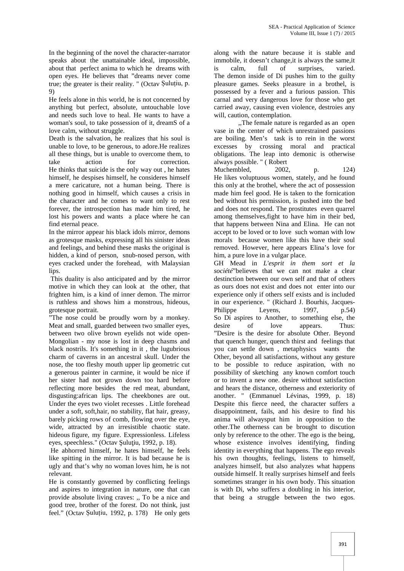In the beginning of the novel the character-narrator speaks about the unattainable ideal, impossible, about that perfect anima to which he dreams with open eyes. He believes that "dreams never come true; the greater is their reality. " (Octav Șuluțiu, p. 9)

He feels alone in this world, he is not concerned by anything but perfect, absolute, untouchable love and needs such love to heal. He wants to have a woman's soul, to take possession of it, dreamS of a love calm, without struggle.

Death is the salvation, he realizes that his soul is unable to love, to be generous, to adore.He realizes all these things, but is unable to overcome them, to take action for correction. He thinks that suicide is the only way out , he hates himself, he despises himself, he consideres himself a mere caricature, not a human being. There is nothing good in himself, which causes a crisis in the character and he comes to want only to rest forever, the introspection has made him tired, he lost his powers and wants a place where he can find eternal peace.

In the mirror appear his black idols mirror, demons as grotesque masks, expressing all his sinister ideas and feelings, and behind these masks the original is hidden, a kind of person, snub-nosed person, with eyes cracked under the forehead, with Malaysian lips.

This duality is also anticipated and by the mirror motive in which they can look at the other, that frighten him, is a kind of inner demon. The mirror is ruthless and shows him a monstrous, hideous, grotesque portrait.

"The nose could be proudly worn by a monkey. Meat and small, guarded between two smaller eyes, between two olive brown eyelids not wide open- Mongolian - my nose is lost in deep chasms and black nostrils. It's something in it , the lugubrious charm of caverns in an ancestral skull. Under the nose, the too fleshy mouth upper lip geometric cut a generous painter in carmine, it would be nice if her sister had not grown down too hard before reflecting more besides the red meat, abundant, disgusting:african lips. The cheekbones are out. Under the eyes two violet recesses . Little forehead under a soft, soft,hair, no stability, flat hair, greasy, barely picking rows of comb, flowing over the eye, wide, attracted by an irresistible chaotic state. hideous figure, my figure. Expressionless. Lifeless eyes, speechless." (Octav ulu iu, 1992, p. 18).

He abhorred himself, he hates himself, he feels like spitting in the mirror. It is bad because he is ugly and that's why no woman loves him, he is not relevant.

He is constantly governed by conflicting feelings and aspires to integration in nature, one that can provide absolute living craves: ,, To be a nice and good tree, brother of the forest. Do not think, just feel." (Octav Șuluțiu, 1992, p. 178) He only gets

along with the nature because it is stable and immobile, it doesn't change,it is always the same,it calm, full of surprises, varied. The demon inside of Di pushes him to the guilty pleasure games. Seeks pleasure in a brothel, is possessed by a fever and a furious passion. This carnal and very dangerous love for those who get carried away, causing even violence, destroies any will, caution, contemplation.

,,The female nature is regarded as an open vase in the center of which unrestrained passions are boiling. Men's task is to rein in the worst excesses by crossing moral and practical obligations. The leap into demonic is otherwise always possible. " ( Robert

Muchembled, 2002, p. 124) He likes voluptuous women, stately, and he found this only at the brothel, where the act of possession made him feel good. He is taken to the fornication bed without his permission, is pushed into the bed and does not respond. The prostitutes even quarrel among themselves,fight to have him in their bed, that happens between Nina and Elina. He can not accept to be loved or to love such woman with low morals because women like this have their soul removed. However, here appears Elina's love for him, a pure love in a vulgar place.

GH Mead in *L'esprit in them sort et la société*"believes that we can not make a clear destinction between our own self and that of others as ours does not exist and does not enter into our experience only if others self exists and is included in our experience. " (Richard J. Bourhis, Jacques- Philippe Leyens, 1997, p.54) So Di aspires to Another, to something else, the desire of love appears. Thus: "Desire is the desire for absolute Other. Beyond that quench hunger, quench thirst and feelings that you can settle down , metaphysics wants the Other, beyond all satisfactions, without any gesture to be possible to reduce aspiration, with no possibility of sketching any known comfort touch or to invent a new one. desire without satisfaction and hears the distance, otherness and exteriority of another. " (Emmanuel Lévinas, 1999, p. 18) Despite this fierce need, the character suffers a disappointment, fails, and his desire to find his anima will alwaysput him in opposition to the other.The otherness can be brought to discution only by reference to the other. The ego is the being, whose existence involves identifying, finding identity in everything that happens. The ego reveals his own thoughts, feelings, listens to himself, analyzes himself, but also analyzes what happens outside himself. It really surprises himself and feels sometimes stranger in his own body. This situation is with Di, who suffers a doubling in his interior, that being a struggle between the two egos.